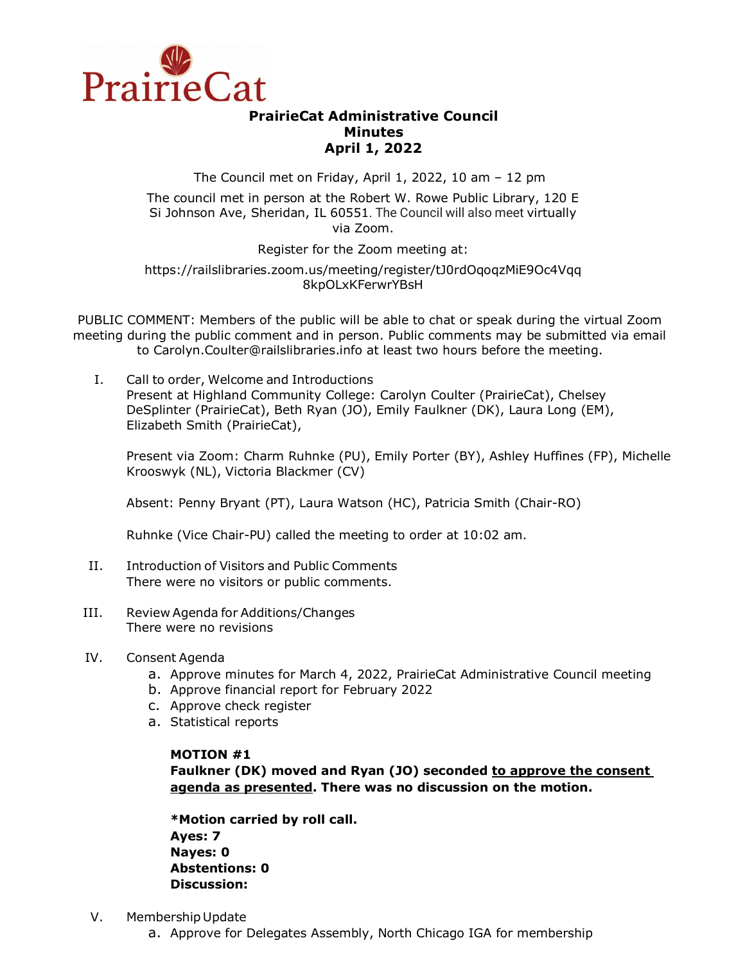

# **PrairieCat Administrative Council Minutes April 1, 2022**

The Council met on Friday, April 1, 2022, 10 am – 12 pm

The council met in person at the Robert W. Rowe Public Library, 120 E Si Johnson Ave, Sheridan, IL 60551. The Council will also meet virtually via Zoom.

Register for the Zoom meeting at:

## https://railslibraries.zoom.us/meeting/register/tJ0rdOqoqzMiE9Oc4Vqq 8kpOLxKFerwrYBsH

PUBLIC COMMENT: Members of the public will be able to chat or speak during the virtual Zoom meeting during the public comment and in person. Public comments may be submitted via email to Carolyn.Coulter@railslibraries.info at least two hours before the meeting.

I. Call to order, Welcome and Introductions Present at Highland Community College: Carolyn Coulter (PrairieCat), Chelsey DeSplinter (PrairieCat), Beth Ryan (JO), Emily Faulkner (DK), Laura Long (EM), Elizabeth Smith (PrairieCat),

Present via Zoom: Charm Ruhnke (PU), Emily Porter (BY), Ashley Huffines (FP), Michelle Krooswyk (NL), Victoria Blackmer (CV)

Absent: Penny Bryant (PT), Laura Watson (HC), Patricia Smith (Chair-RO)

Ruhnke (Vice Chair-PU) called the meeting to order at 10:02 am.

- II. Introduction of Visitors and Public Comments There were no visitors or public comments.
- III. Review Agenda for Additions/Changes There were no revisions
- IV. Consent Agenda
	- a. Approve minutes for March 4, 2022, PrairieCat Administrative Council meeting
	- b. Approve financial report for February 2022
	- c. Approve check register
	- a. Statistical reports

## **MOTION #1**

**Faulkner (DK) moved and Ryan (JO) seconded to approve the consent agenda as presented. There was no discussion on the motion.** 

**\*Motion carried by roll call. Ayes: 7 Nayes: 0 Abstentions: 0 Discussion:**

- V. Membership Update
	- a. Approve for Delegates Assembly, North Chicago IGA for membership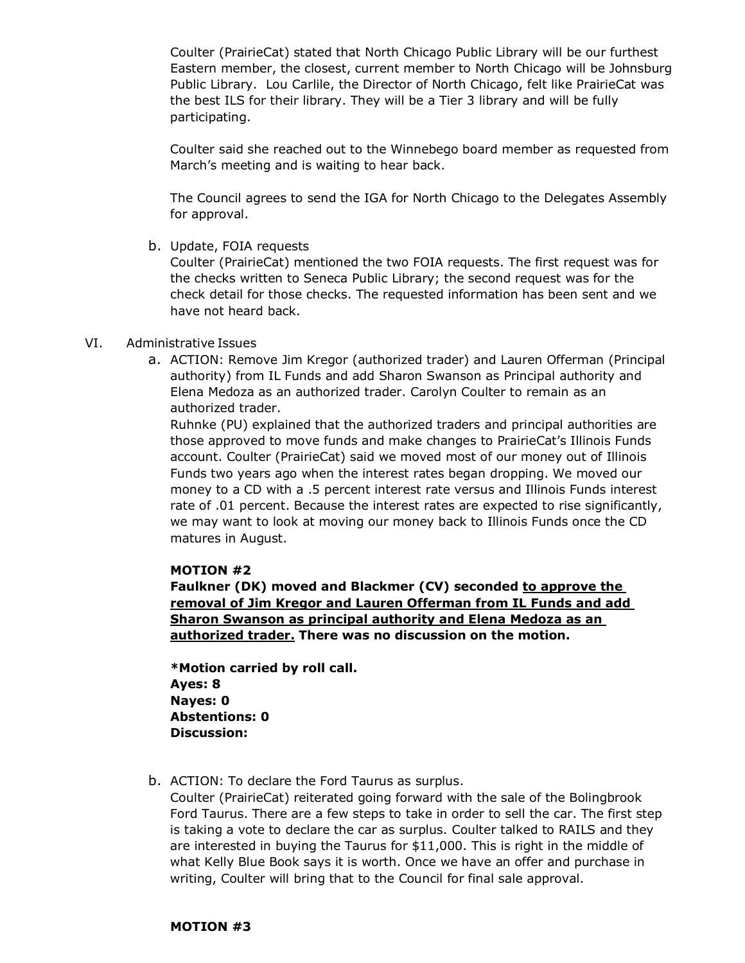Coulter (PrairieCat) stated that North Chicago Public Library will be our furthest Eastern member, the closest, current member to North Chicago will be Johnsburg Public Library. Lou Carlile, the Director of North Chicago, felt like PrairieCat was the best ILS for their library. They will be a Tier 3 library and will be fully participating.

Coulter said she reached out to the Winnebego board member as requested from March's meeting and is waiting to hear back.

The Council agrees to send the IGA for North Chicago to the Delegates Assembly for approval.

b. Update, FOIA requests

Coulter (PrairieCat) mentioned the two FOIA requests. The first request was for the checks written to Seneca Public Library; the second request was for the check detail for those checks. The requested information has been sent and we have not heard back.

## VI. Administrative Issues

a. ACTION: Remove Jim Kregor (authorized trader) and Lauren Offerman (Principal authority) from IL Funds and add Sharon Swanson as Principal authority and Elena Medoza as an authorized trader. Carolyn Coulter to remain as an authorized trader.

Ruhnke (PU) explained that the authorized traders and principal authorities are those approved to move funds and make changes to PrairieCat's Illinois Funds account. Coulter (PrairieCat) said we moved most of our money out of Illinois Funds two years ago when the interest rates began dropping. We moved our money to a CD with a .5 percent interest rate versus and Illinois Funds interest rate of .01 percent. Because the interest rates are expected to rise significantly, we may want to look at moving our money back to Illinois Funds once the CD matures in August.

## **MOTION #2**

**Faulkner (DK) moved and Blackmer (CV) seconded to approve the removal of Jim Kregor and Lauren Offerman from IL Funds and add Sharon Swanson as principal authority and Elena Medoza as an authorized trader. There was no discussion on the motion.** 

**\*Motion carried by roll call. Ayes: 8 Nayes: 0 Abstentions: 0 Discussion:**

b. ACTION: To declare the Ford Taurus as surplus.

Coulter (PrairieCat) reiterated going forward with the sale of the Bolingbrook Ford Taurus. There are a few steps to take in order to sell the car. The first step is taking a vote to declare the car as surplus. Coulter talked to RAILS and they are interested in buying the Taurus for \$11,000. This is right in the middle of what Kelly Blue Book says it is worth. Once we have an offer and purchase in writing, Coulter will bring that to the Council for final sale approval.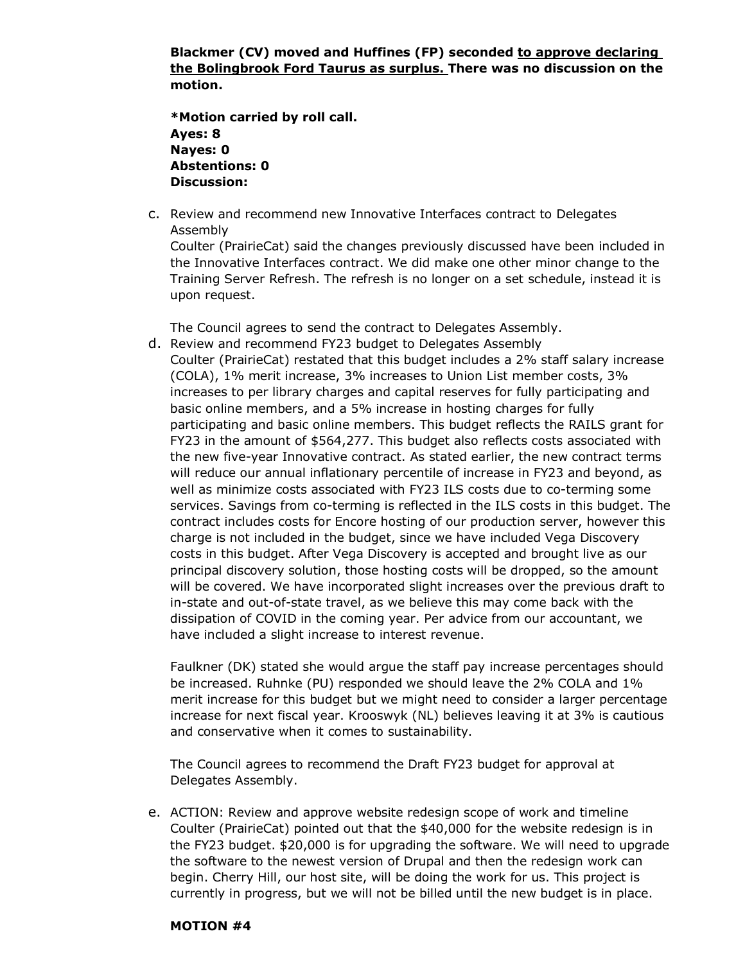**Blackmer (CV) moved and Huffines (FP) seconded to approve declaring the Bolingbrook Ford Taurus as surplus. There was no discussion on the motion.** 

**\*Motion carried by roll call. Ayes: 8 Nayes: 0 Abstentions: 0 Discussion:**

c. Review and recommend new Innovative Interfaces contract to Delegates Assembly

Coulter (PrairieCat) said the changes previously discussed have been included in the Innovative Interfaces contract. We did make one other minor change to the Training Server Refresh. The refresh is no longer on a set schedule, instead it is upon request.

The Council agrees to send the contract to Delegates Assembly.

d. Review and recommend FY23 budget to Delegates Assembly Coulter (PrairieCat) restated that this budget includes a 2% staff salary increase (COLA), 1% merit increase, 3% increases to Union List member costs, 3% increases to per library charges and capital reserves for fully participating and basic online members, and a 5% increase in hosting charges for fully participating and basic online members. This budget reflects the RAILS grant for FY23 in the amount of \$564,277. This budget also reflects costs associated with the new five-year Innovative contract. As stated earlier, the new contract terms will reduce our annual inflationary percentile of increase in FY23 and beyond, as well as minimize costs associated with FY23 ILS costs due to co-terming some services. Savings from co-terming is reflected in the ILS costs in this budget. The contract includes costs for Encore hosting of our production server, however this charge is not included in the budget, since we have included Vega Discovery costs in this budget. After Vega Discovery is accepted and brought live as our principal discovery solution, those hosting costs will be dropped, so the amount will be covered. We have incorporated slight increases over the previous draft to in-state and out-of-state travel, as we believe this may come back with the dissipation of COVID in the coming year. Per advice from our accountant, we have included a slight increase to interest revenue.

Faulkner (DK) stated she would argue the staff pay increase percentages should be increased. Ruhnke (PU) responded we should leave the 2% COLA and 1% merit increase for this budget but we might need to consider a larger percentage increase for next fiscal year. Krooswyk (NL) believes leaving it at 3% is cautious and conservative when it comes to sustainability.

The Council agrees to recommend the Draft FY23 budget for approval at Delegates Assembly.

e. ACTION: Review and approve website redesign scope of work and timeline Coulter (PrairieCat) pointed out that the \$40,000 for the website redesign is in the FY23 budget. \$20,000 is for upgrading the software. We will need to upgrade the software to the newest version of Drupal and then the redesign work can begin. Cherry Hill, our host site, will be doing the work for us. This project is currently in progress, but we will not be billed until the new budget is in place.

## **MOTION #4**